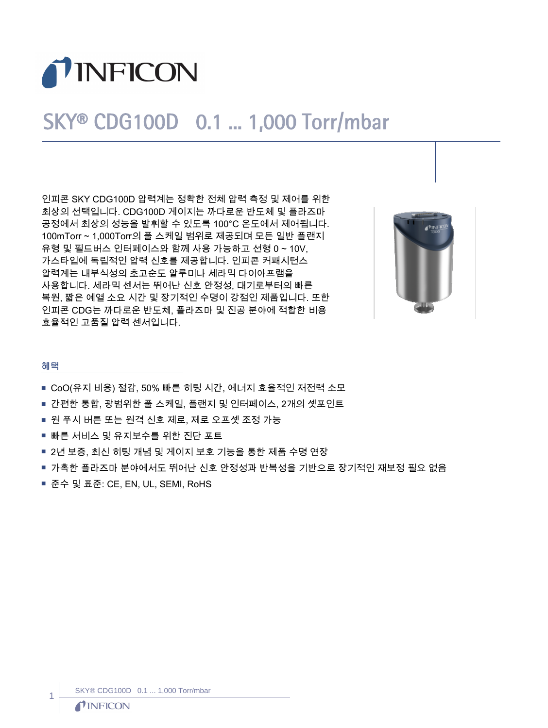

## SKY® CDG100D 0.1 ... 1,000 Torr/mbar

인피콘 SKY CDG100D 압력계는 정확한 전체 압력 측정 및 제어를 위한 최상의 선택입니다. CDG100D 게이지는 까다로운 반도체 및 플라즈마 공정에서 최상의 성능을 발휘할 수 있도록 100℃ 온도에서 제어됩니다. 100mTorr ~ 1,000Torr의 풀 스케일 범위로 제공되며 모든 일반 플랜지 유형 및 필드버스 인터페이스와 함께 사용 가능하고 선형 0 ~ 10V, 가스타입에 독립적인 압력 신호를 제공합니다. 인피콘 커패시턴스 압력계는 내부식성의 초고순도 알루미나 세라믹 다이아프램을 사용합니다. 세라믹 센서는 뛰어난 신호 안정성, 대기로부터의 빠른 복원, 짧은 예열 소요 시간 및 장기적인 수명이 강점인 제품입니다. 또한 인피콘 CDG는 까다로운 반도체, 플라즈마 및 진공 분야에 적합한 비용 효율적인 고품질 압력 센서입니다.



## 혜택

- CoO(유지 비용) 절감, 50% 빠른 히팅 시간, 에너지 효율적인 저전력 소모
- 간편한 통합, 광범위한 풀 스케일, 플랜지 및 인터페이스, 2개의 셋포인트
- 원 푸시 버튼 또는 원격 신호 제로, 제로 오프셋 조정 가능
- 빠른 서비스 및 유지보수를 위한 진단 포트
- 2년 보증, 최신 히팅 개념 및 게이지 보호 기능을 통한 제품 수명 연장
- 가혹한 플라즈마 분야에서도 뛰어난 신호 안정성과 반복성을 기반으로 장기적인 재보정 필요 없음
- 준수 및 표준: CE, EN, UL, SEMI, RoHS

1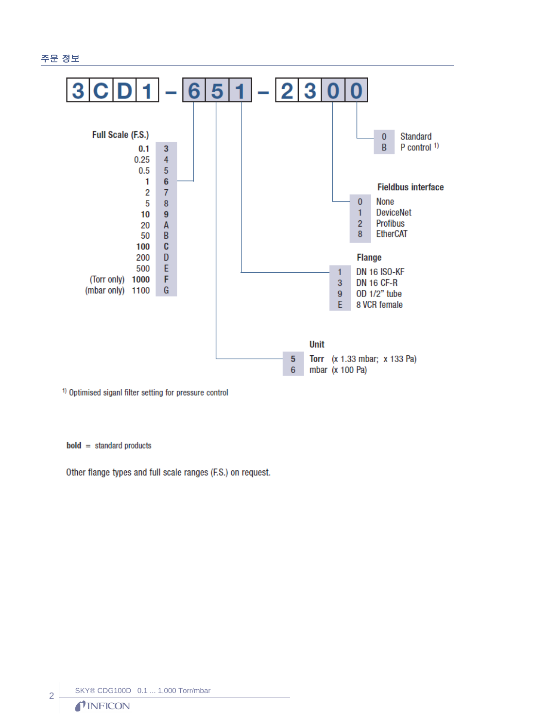



<sup>1)</sup> Optimised siganl filter setting for pressure control

 $bold = standard products$ 

Other flange types and full scale ranges (F.S.) on request.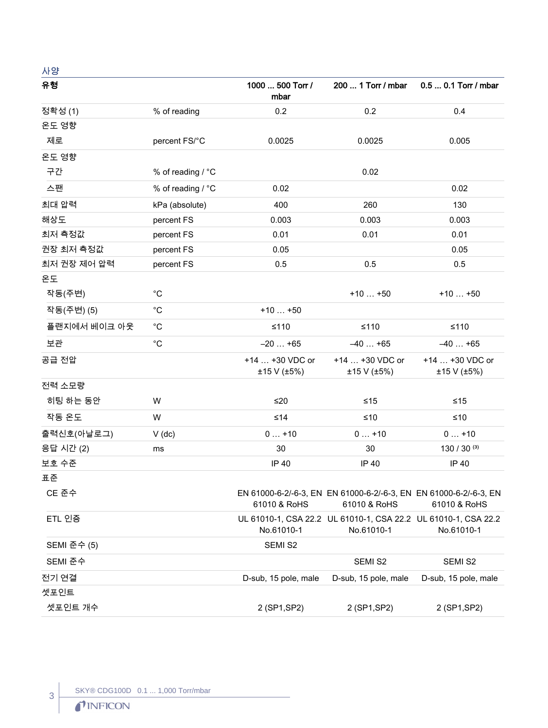㇠㛅

| 유형           |                   | 1000  500 Torr /<br>mbar       | 200  1 Torr / mbar                                                                | 0.5  0.1 Torr / mbar           |
|--------------|-------------------|--------------------------------|-----------------------------------------------------------------------------------|--------------------------------|
| 정확성 (1)      | % of reading      | 0.2                            | 0.2                                                                               | 0.4                            |
| 온도 영향        |                   |                                |                                                                                   |                                |
| 제로           | percent FS/°C     | 0.0025                         | 0.0025                                                                            | 0.005                          |
| 온도 영향        |                   |                                |                                                                                   |                                |
| 구간           | % of reading / °C |                                | 0.02                                                                              |                                |
| 스팬           | % of reading / °C | 0.02                           |                                                                                   | 0.02                           |
| 최대 압력        | kPa (absolute)    | 400                            | 260                                                                               | 130                            |
| 해상도          | percent FS        | 0.003                          | 0.003                                                                             | 0.003                          |
| 최저 측정값       | percent FS        | 0.01                           | 0.01                                                                              | 0.01                           |
| 권장 최저 측정값    | percent FS        | 0.05                           |                                                                                   | 0.05                           |
| 최저 권장 제어 압력  | percent FS        | 0.5                            | 0.5                                                                               | 0.5                            |
| 온도           |                   |                                |                                                                                   |                                |
| 작동(주변)       | $^{\circ}C$       |                                | $+10+50$                                                                          | $+10+50$                       |
| 작동(주변) (5)   | $^{\circ}C$       | $+10+50$                       |                                                                                   |                                |
| 플랜지에서 베이크 아웃 | $^{\circ}C$       | $≤110$                         | $≤110$                                                                            | $≤110$                         |
| 보관           | $^{\circ}$ C      | $-20+65$                       | $-40+65$                                                                          | $-40+65$                       |
| 공급 전압        |                   | +14  +30 VDC or<br>±15 V (±5%) | +14  +30 VDC or<br>±15 V (±5%)                                                    | +14  +30 VDC or<br>±15 V (±5%) |
| 전력 소모량       |                   |                                |                                                                                   |                                |
| 히팅 하는 동안     | W                 | $\leq 20$                      | $≤15$                                                                             | $≤15$                          |
| 작동 온도        | W                 | $≤14$                          | $≤10$                                                                             | $≤10$                          |
| 출력신호(아날로그)   | $V$ (dc)          | $0+10$                         | $0+10$                                                                            | $0+10$                         |
| 응답 시간 (2)    | ms                | 30                             | 30                                                                                | 130 / 30 $(3)$                 |
| 보호 수준        |                   | IP 40                          | IP 40                                                                             | IP 40                          |
| 표준           |                   |                                |                                                                                   |                                |
| CE 준수        |                   | 61010 & RoHS                   | EN 61000-6-2/-6-3, EN EN 61000-6-2/-6-3, EN EN 61000-6-2/-6-3, EN<br>61010 & RoHS | 61010 & RoHS                   |
| ETL 인증       |                   | No.61010-1                     | UL 61010-1, CSA 22.2 UL 61010-1, CSA 22.2 UL 61010-1, CSA 22.2<br>No.61010-1      | No.61010-1                     |
| SEMI 준수 (5)  |                   | SEMI S2                        |                                                                                   |                                |
| SEMI 준수      |                   |                                | SEMI S2                                                                           | SEMI S2                        |
| 전기 연결        |                   | D-sub, 15 pole, male           | D-sub, 15 pole, male                                                              | D-sub, 15 pole, male           |
| 셋포인트         |                   |                                |                                                                                   |                                |
| 셋포인트 개수      |                   | 2 (SP1, SP2)                   | 2 (SP1, SP2)                                                                      | 2 (SP1, SP2)                   |

 $\begin{array}{c|c} 3 \end{array}$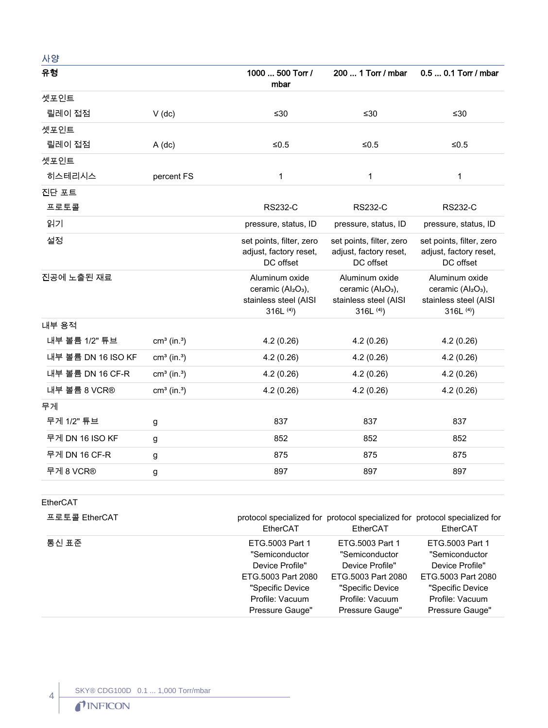| 사양                 |                           |                                                                                                     |                                                                                                     |                                                                                                     |
|--------------------|---------------------------|-----------------------------------------------------------------------------------------------------|-----------------------------------------------------------------------------------------------------|-----------------------------------------------------------------------------------------------------|
| 유형                 |                           | 1000  500 Torr /<br>mbar                                                                            | 200  1 Torr / mbar                                                                                  | 0.5  0.1 Torr / mbar                                                                                |
| 셋포인트               |                           |                                                                                                     |                                                                                                     |                                                                                                     |
| 릴레이 접점             | $V$ (dc)                  | ≤30                                                                                                 | ≤30                                                                                                 | ≤30                                                                                                 |
| 셋포인트               |                           |                                                                                                     |                                                                                                     |                                                                                                     |
| 릴레이 접점             | $A$ (dc)                  | ${\leq}0.5$                                                                                         | $≤0.5$                                                                                              | $≤0.5$                                                                                              |
| 셋포인트               |                           |                                                                                                     |                                                                                                     |                                                                                                     |
| 히스테리시스             | percent FS                | 1                                                                                                   | 1                                                                                                   | 1                                                                                                   |
| 진단 포트              |                           |                                                                                                     |                                                                                                     |                                                                                                     |
| 프로토콜               |                           | <b>RS232-C</b>                                                                                      | <b>RS232-C</b>                                                                                      | <b>RS232-C</b>                                                                                      |
| 읽기                 |                           | pressure, status, ID                                                                                | pressure, status, ID                                                                                | pressure, status, ID                                                                                |
| 설정                 |                           | set points, filter, zero<br>adjust, factory reset,<br>DC offset                                     | set points, filter, zero<br>adjust, factory reset,<br>DC offset                                     | set points, filter, zero<br>adjust, factory reset,<br>DC offset                                     |
| 진공에 노출된 재료         |                           | Aluminum oxide<br>ceramic (Al <sub>2</sub> O <sub>3</sub> ),<br>stainless steel (AISI<br>316L $(4)$ | Aluminum oxide<br>ceramic (Al <sub>2</sub> O <sub>3</sub> ),<br>stainless steel (AISI<br>316L $(4)$ | Aluminum oxide<br>ceramic (Al <sub>2</sub> O <sub>3</sub> ),<br>stainless steel (AISI<br>316L $(4)$ |
| 내부 용적              |                           |                                                                                                     |                                                                                                     |                                                                                                     |
| 내부 볼륨 1/2" 튜브      | $cm3$ (in. <sup>3</sup> ) | 4.2(0.26)                                                                                           | 4.2(0.26)                                                                                           | 4.2(0.26)                                                                                           |
| 내부 볼륨 DN 16 ISO KF | $cm3$ (in. <sup>3</sup> ) | 4.2(0.26)                                                                                           | 4.2(0.26)                                                                                           | 4.2(0.26)                                                                                           |
| 내부 볼륨 DN 16 CF-R   | $cm3$ (in. <sup>3</sup> ) | 4.2(0.26)                                                                                           | 4.2(0.26)                                                                                           | 4.2(0.26)                                                                                           |
| 내부 볼륨 8 VCR®       | $cm3$ (in. <sup>3</sup> ) | 4.2(0.26)                                                                                           | 4.2(0.26)                                                                                           | 4.2(0.26)                                                                                           |
| 무게                 |                           |                                                                                                     |                                                                                                     |                                                                                                     |
| 무게 1/2" 튜브         | g                         | 837                                                                                                 | 837                                                                                                 | 837                                                                                                 |
| 무게 DN 16 ISO KF    | g                         | 852                                                                                                 | 852                                                                                                 | 852                                                                                                 |
| 무게 DN 16 CF-R      | g                         | 875                                                                                                 | 875                                                                                                 | 875                                                                                                 |
| 무게 8 VCR®          | g                         | 897                                                                                                 | 897                                                                                                 | 897                                                                                                 |
|                    |                           |                                                                                                     |                                                                                                     |                                                                                                     |

## EtherCAT

 $\left| \begin{array}{c} 4 \end{array} \right|$ 

| 프로토콜 EtherCAT | EtherCAT           | protocol specialized for protocol specialized for protocol specialized for<br>EtherCAT | EtherCAT           |
|---------------|--------------------|----------------------------------------------------------------------------------------|--------------------|
| 통신 표준         | ETG.5003 Part 1    | ETG.5003 Part 1                                                                        | ETG.5003 Part 1    |
|               | "Semiconductor     | "Semiconductor                                                                         | "Semiconductor     |
|               | Device Profile"    | Device Profile"                                                                        | Device Profile"    |
|               | ETG.5003 Part 2080 | ETG.5003 Part 2080                                                                     | ETG.5003 Part 2080 |
|               | "Specific Device   | "Specific Device                                                                       | "Specific Device   |
|               | Profile: Vacuum    | Profile: Vacuum                                                                        | Profile: Vacuum    |
|               | Pressure Gauge"    | Pressure Gauge"                                                                        | Pressure Gauge"    |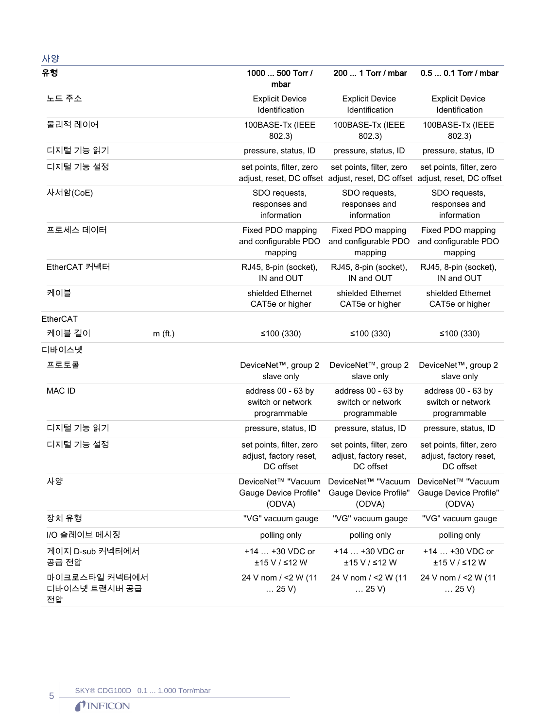| 사양                                   |           |                                                                 |                                                                                                        |                                                                 |
|--------------------------------------|-----------|-----------------------------------------------------------------|--------------------------------------------------------------------------------------------------------|-----------------------------------------------------------------|
| 유형                                   |           | 1000  500 Torr /<br>mbar                                        | 200  1 Torr / mbar                                                                                     | 0.5  0.1 Torr / mbar                                            |
| 노드 주소                                |           | <b>Explicit Device</b><br>Identification                        | <b>Explicit Device</b><br>Identification                                                               | <b>Explicit Device</b><br>Identification                        |
| 물리적 레이어                              |           | 100BASE-Tx (IEEE<br>802.3)                                      | 100BASE-Tx (IEEE<br>802.3)                                                                             | 100BASE-Tx (IEEE<br>802.3)                                      |
| 디지털 기능 읽기                            |           | pressure, status, ID                                            | pressure, status, ID                                                                                   | pressure, status, ID                                            |
| 디지털 기능 설정                            |           | set points, filter, zero                                        | set points, filter, zero<br>adjust, reset, DC offset adjust, reset, DC offset adjust, reset, DC offset | set points, filter, zero                                        |
| 사서함(CoE)                             |           | SDO requests,<br>responses and<br>information                   | SDO requests,<br>responses and<br>information                                                          | SDO requests,<br>responses and<br>information                   |
| 프로세스 데이터                             |           | Fixed PDO mapping<br>and configurable PDO<br>mapping            | Fixed PDO mapping<br>and configurable PDO<br>mapping                                                   | Fixed PDO mapping<br>and configurable PDO<br>mapping            |
| EtherCAT 커넥터                         |           | RJ45, 8-pin (socket),<br>IN and OUT                             | RJ45, 8-pin (socket),<br>IN and OUT                                                                    | RJ45, 8-pin (socket),<br>IN and OUT                             |
| 케이블                                  |           | shielded Ethernet<br>CAT5e or higher                            | shielded Ethernet<br>CAT5e or higher                                                                   | shielded Ethernet<br>CAT5e or higher                            |
| EtherCAT                             |           |                                                                 |                                                                                                        |                                                                 |
| 케이블 길이                               | $m$ (ft.) | ≤100 $(330)$                                                    | ≤100 $(330)$                                                                                           | ≤100 $(330)$                                                    |
| 디바이스넷                                |           |                                                                 |                                                                                                        |                                                                 |
| 프로토콜                                 |           | DeviceNet <sup>™</sup> , group 2<br>slave only                  | DeviceNet <sup>™</sup> , group 2<br>slave only                                                         | DeviceNet <sup>™</sup> , group 2<br>slave only                  |
| <b>MAC ID</b>                        |           | address 00 - 63 by<br>switch or network<br>programmable         | address 00 - 63 by<br>switch or network<br>programmable                                                | address 00 - 63 by<br>switch or network<br>programmable         |
| 디지털 기능 읽기                            |           | pressure, status, ID                                            | pressure, status, ID                                                                                   | pressure, status, ID                                            |
| 디지털 기능 설정                            |           | set points, filter, zero<br>adjust, factory reset,<br>DC offset | set points, filter, zero<br>adjust, factory reset,<br>DC offset                                        | set points, filter, zero<br>adjust, factory reset,<br>DC offset |
| 사양                                   |           | DeviceNet™ "Vacuum<br>Gauge Device Profile"<br>(ODVA)           | DeviceNet™ "Vacuum<br>Gauge Device Profile"<br>(ODVA)                                                  | DeviceNet™ "Vacuum<br><b>Gauge Device Profile"</b><br>(ODVA)    |
| 장치 유형                                |           | "VG" vacuum gauge                                               | "VG" vacuum gauge                                                                                      | "VG" vacuum gauge                                               |
| I/O 슬레이브 메시징                         |           | polling only                                                    | polling only                                                                                           | polling only                                                    |
| 게이지 D-sub 커넥터에서<br>공급 전압             |           | +14  +30 VDC or<br>±15 V / ≤12 W                                | +14  +30 VDC or<br>±15 V / ≤12 W                                                                       | +14  +30 VDC or<br>±15 V / ≤12 W                                |
| 마이크로스타일 커넥터에서<br>디바이스넷 트랜시버 공급<br>전압 |           | 24 V nom / <2 W (11<br>$\dots$ 25 V)                            | 24 V nom / <2 W (11<br>$\ldots$ 25 V)                                                                  | 24 V nom / <2 W (11<br>$\ldots$ 25 V)                           |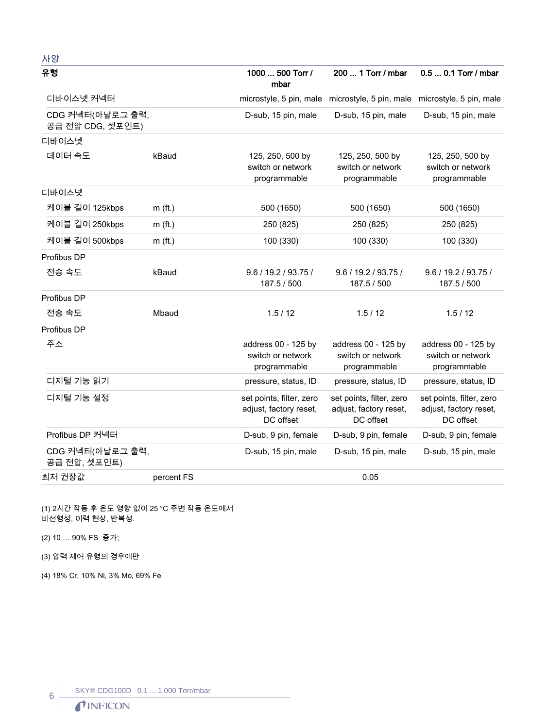| 사양                                   |            |                                                                 |                                                                         |                                                                 |
|--------------------------------------|------------|-----------------------------------------------------------------|-------------------------------------------------------------------------|-----------------------------------------------------------------|
| 유형                                   |            | 1000  500 Torr /<br>mbar                                        | 200  1 Torr / mbar                                                      | 0.5  0.1 Torr / mbar                                            |
| 디바이스넷 커넥터                            |            |                                                                 | microstyle, 5 pin, male microstyle, 5 pin, male microstyle, 5 pin, male |                                                                 |
| CDG 커넥터(아날로그 출력,<br>공급 전압 CDG, 셋포인트) |            | D-sub, 15 pin, male                                             | D-sub, 15 pin, male                                                     | D-sub, 15 pin, male                                             |
| 디바이스넷                                |            |                                                                 |                                                                         |                                                                 |
| 데이터 속도                               | kBaud      | 125, 250, 500 by<br>switch or network<br>programmable           | 125, 250, 500 by<br>switch or network<br>programmable                   | 125, 250, 500 by<br>switch or network<br>programmable           |
| 디바이스넷                                |            |                                                                 |                                                                         |                                                                 |
| 케이블 길이 125kbps                       | $m$ (ft.)  | 500 (1650)                                                      | 500 (1650)                                                              | 500 (1650)                                                      |
| 케이블 길이 250kbps                       | $m$ (ft.)  | 250 (825)                                                       | 250 (825)                                                               | 250 (825)                                                       |
| 케이블 길이 500kbps                       | $m$ (ft.)  | 100 (330)                                                       | 100 (330)                                                               | 100 (330)                                                       |
| Profibus DP                          |            |                                                                 |                                                                         |                                                                 |
| 전송 속도                                | kBaud      | 9.6 / 19.2 / 93.75 /<br>187.5 / 500                             | 9.6 / 19.2 / 93.75 /<br>187.5 / 500                                     | 9.6 / 19.2 / 93.75 /<br>187.5 / 500                             |
| Profibus DP                          |            |                                                                 |                                                                         |                                                                 |
| 전송 속도                                | Mbaud      | 1.5/12                                                          | 1.5/12                                                                  | 1.5/12                                                          |
| Profibus DP                          |            |                                                                 |                                                                         |                                                                 |
| 주소                                   |            | address 00 - 125 by<br>switch or network<br>programmable        | address 00 - 125 by<br>switch or network<br>programmable                | address 00 - 125 by<br>switch or network<br>programmable        |
| 디지털 기능 읽기                            |            | pressure, status, ID                                            | pressure, status, ID                                                    | pressure, status, ID                                            |
| 디지털 기능 설정                            |            | set points, filter, zero<br>adjust, factory reset,<br>DC offset | set points, filter, zero<br>adjust, factory reset,<br>DC offset         | set points, filter, zero<br>adjust, factory reset,<br>DC offset |
| Profibus DP 커넥터                      |            | D-sub, 9 pin, female                                            | D-sub, 9 pin, female                                                    | D-sub, 9 pin, female                                            |
| CDG 커넥터(아날로그 출력,<br>공급 전압, 셋포인트)     |            | D-sub, 15 pin, male                                             | D-sub, 15 pin, male                                                     | D-sub, 15 pin, male                                             |
| 최저 권장값                               | percent FS |                                                                 | 0.05                                                                    |                                                                 |

(1) 2시간 작동 후 온도 영향 없이 25 ℃ 주변 작동 온도에서  $\overline{H}$ 비선형성, 이력 현상, 반복성.

(2) 10 ... 90% FS 증가;

(3) 압력 제어 유형의 경우에만

(4) 18% Cr, 10% Ni, 3% Mo, 69% Fe